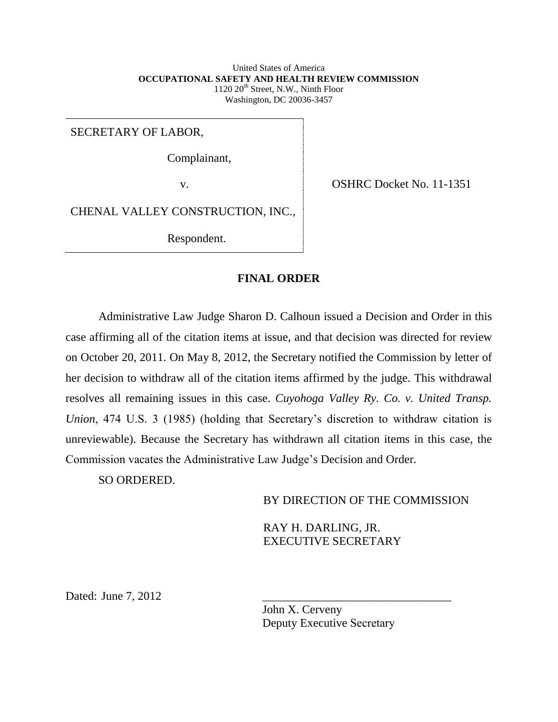United States of America **OCCUPATIONAL SAFETY AND HEALTH REVIEW COMMISSION**  $1120 \ 20$ <sup>th</sup> Street, N.W., Ninth Floor Washington, DC 20036-3457

SECRETARY OF LABOR,

Complainant,

v. OSHRC Docket No. 11-1351

CHENAL VALLEY CONSTRUCTION, INC.,

Respondent.

## **FINAL ORDER**

Administrative Law Judge Sharon D. Calhoun issued a Decision and Order in this case affirming all of the citation items at issue, and that decision was directed for review on October 20, 2011. On May 8, 2012, the Secretary notified the Commission by letter of her decision to withdraw all of the citation items affirmed by the judge. This withdrawal resolves all remaining issues in this case. *Cuyohoga Valley Ry. Co. v. United Transp. Union*, 474 U.S. 3 (1985) (holding that Secretary's discretion to withdraw citation is unreviewable). Because the Secretary has withdrawn all citation items in this case, the Commission vacates the Administrative Law Judge's Decision and Order.

SO ORDERED.

BY DIRECTION OF THE COMMISSION

\_\_\_\_\_\_\_\_\_\_\_\_\_\_\_\_\_\_\_\_\_\_\_\_\_\_\_\_\_\_\_\_

RAY H. DARLING, JR. EXECUTIVE SECRETARY

Dated: June 7, 2012

John X. Cerveny Deputy Executive Secretary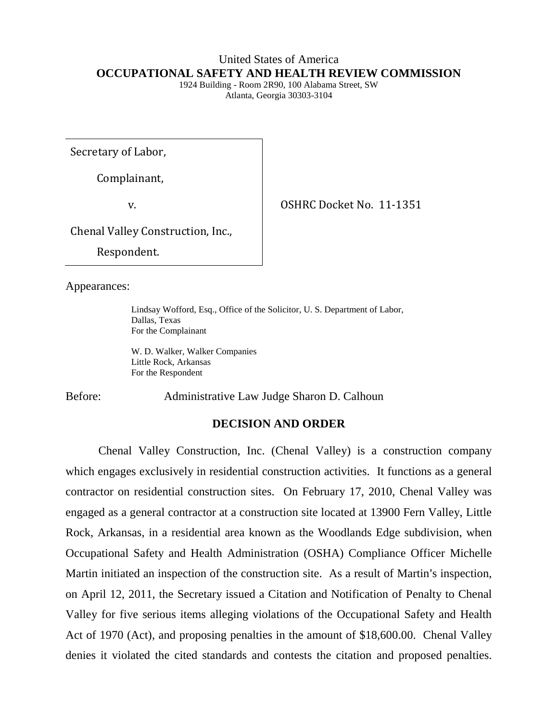## United States of America **OCCUPATIONAL SAFETY AND HEALTH REVIEW COMMISSION**

1924 Building - Room 2R90, 100 Alabama Street, SW Atlanta, Georgia 30303-3104

Secretary of Labor,

Complainant,

v. OSHRC Docket No. 11-1351

Chenal Valley Construction, Inc.,

Respondent.

Appearances:

Lindsay Wofford, Esq., Office of the Solicitor, U. S. Department of Labor, Dallas, Texas For the Complainant

W. D. Walker, Walker Companies Little Rock, Arkansas For the Respondent

Before: Administrative Law Judge Sharon D. Calhoun

## **DECISION AND ORDER**

Chenal Valley Construction, Inc. (Chenal Valley) is a construction company which engages exclusively in residential construction activities. It functions as a general contractor on residential construction sites. On February 17, 2010, Chenal Valley was engaged as a general contractor at a construction site located at 13900 Fern Valley, Little Rock, Arkansas, in a residential area known as the Woodlands Edge subdivision, when Occupational Safety and Health Administration (OSHA) Compliance Officer Michelle Martin initiated an inspection of the construction site. As a result of Martin's inspection, on April 12, 2011, the Secretary issued a Citation and Notification of Penalty to Chenal Valley for five serious items alleging violations of the Occupational Safety and Health Act of 1970 (Act), and proposing penalties in the amount of \$18,600.00. Chenal Valley denies it violated the cited standards and contests the citation and proposed penalties.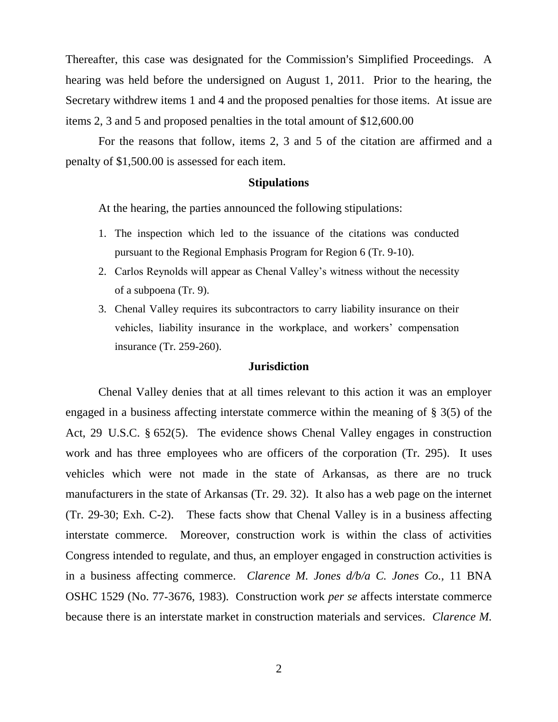Thereafter, this case was designated for the Commission's Simplified Proceedings. A hearing was held before the undersigned on August 1, 2011. Prior to the hearing, the Secretary withdrew items 1 and 4 and the proposed penalties for those items. At issue are items 2, 3 and 5 and proposed penalties in the total amount of \$12,600.00

For the reasons that follow, items 2, 3 and 5 of the citation are affirmed and a penalty of \$1,500.00 is assessed for each item.

## **Stipulations**

At the hearing, the parties announced the following stipulations:

- 1. The inspection which led to the issuance of the citations was conducted pursuant to the Regional Emphasis Program for Region 6 (Tr. 9-10).
- 2. Carlos Reynolds will appear as Chenal Valley's witness without the necessity of a subpoena (Tr. 9).
- 3. Chenal Valley requires its subcontractors to carry liability insurance on their vehicles, liability insurance in the workplace, and workers' compensation insurance (Tr. 259-260).

#### **Jurisdiction**

Chenal Valley denies that at all times relevant to this action it was an employer engaged in a business affecting interstate commerce within the meaning of § 3(5) of the Act, 29 U.S.C. § 652(5). The evidence shows Chenal Valley engages in construction work and has three employees who are officers of the corporation (Tr. 295). It uses vehicles which were not made in the state of Arkansas, as there are no truck manufacturers in the state of Arkansas (Tr. 29. 32). It also has a web page on the internet (Tr. 29-30; Exh. C-2). These facts show that Chenal Valley is in a business affecting interstate commerce. Moreover, construction work is within the class of activities Congress intended to regulate, and thus, an employer engaged in construction activities is in a business affecting commerce. *Clarence M. Jones d/b/a C. Jones Co.,* 11 BNA OSHC 1529 (No. 77-3676, 1983). Construction work *per se* affects interstate commerce because there is an interstate market in construction materials and services. *Clarence M.*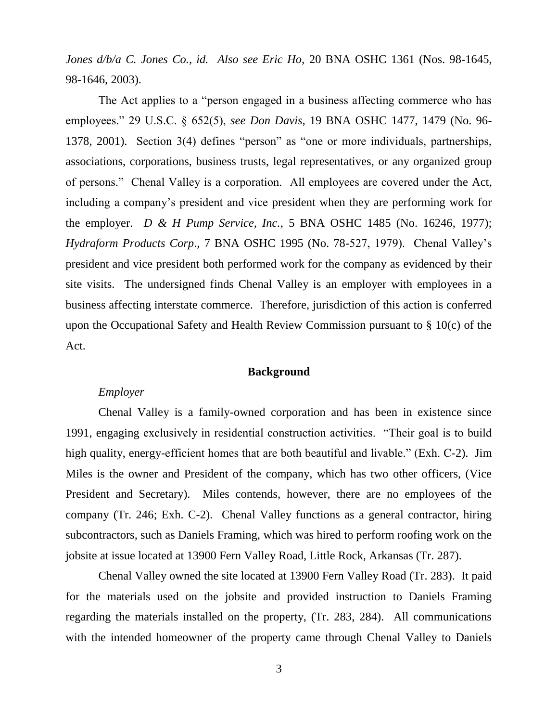*Jones d/b/a C. Jones Co., id. Also see Eric Ho,* 20 BNA OSHC 1361 (Nos. 98-1645, 98-1646, 2003).

The Act applies to a "person engaged in a business affecting commerce who has employees." 29 U.S.C. § 652(5), *see Don Davis,* 19 BNA OSHC 1477, 1479 (No. 96- 1378, 2001). Section 3(4) defines "person" as "one or more individuals, partnerships, associations, corporations, business trusts, legal representatives, or any organized group of persons." Chenal Valley is a corporation. All employees are covered under the Act, including a company's president and vice president when they are performing work for the employer. *D & H Pump Service, Inc.*, 5 BNA OSHC 1485 (No. 16246, 1977); *Hydraform Products Corp*., 7 BNA OSHC 1995 (No. 78-527, 1979). Chenal Valley's president and vice president both performed work for the company as evidenced by their site visits. The undersigned finds Chenal Valley is an employer with employees in a business affecting interstate commerce. Therefore, jurisdiction of this action is conferred upon the Occupational Safety and Health Review Commission pursuant to § 10(c) of the Act.

## **Background**

## *Employer*

Chenal Valley is a family-owned corporation and has been in existence since 1991, engaging exclusively in residential construction activities. "Their goal is to build high quality, energy-efficient homes that are both beautiful and livable." (Exh. C-2). Jim Miles is the owner and President of the company, which has two other officers, (Vice President and Secretary). Miles contends, however, there are no employees of the company (Tr. 246; Exh. C-2). Chenal Valley functions as a general contractor, hiring subcontractors, such as Daniels Framing, which was hired to perform roofing work on the jobsite at issue located at 13900 Fern Valley Road, Little Rock, Arkansas (Tr. 287).

Chenal Valley owned the site located at 13900 Fern Valley Road (Tr. 283). It paid for the materials used on the jobsite and provided instruction to Daniels Framing regarding the materials installed on the property, (Tr. 283, 284). All communications with the intended homeowner of the property came through Chenal Valley to Daniels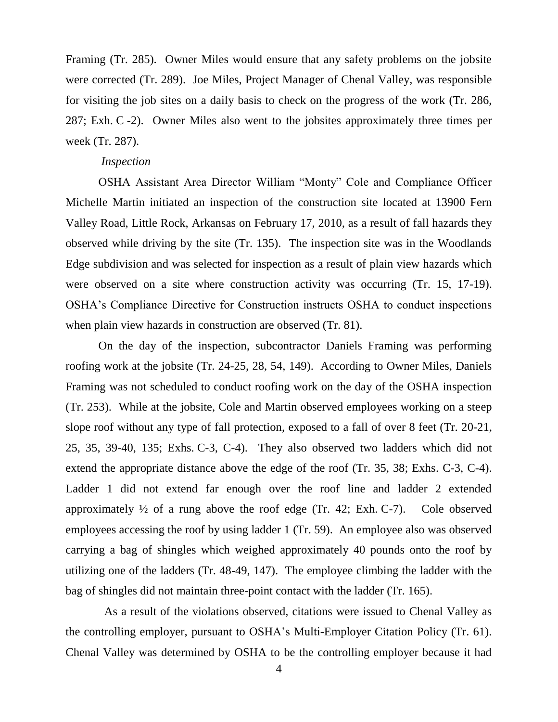Framing (Tr. 285). Owner Miles would ensure that any safety problems on the jobsite were corrected (Tr. 289). Joe Miles, Project Manager of Chenal Valley, was responsible for visiting the job sites on a daily basis to check on the progress of the work (Tr. 286, 287; Exh. C -2). Owner Miles also went to the jobsites approximately three times per week (Tr. 287).

### *Inspection*

OSHA Assistant Area Director William "Monty" Cole and Compliance Officer Michelle Martin initiated an inspection of the construction site located at 13900 Fern Valley Road, Little Rock, Arkansas on February 17, 2010, as a result of fall hazards they observed while driving by the site (Tr. 135). The inspection site was in the Woodlands Edge subdivision and was selected for inspection as a result of plain view hazards which were observed on a site where construction activity was occurring (Tr. 15, 17-19). OSHA's Compliance Directive for Construction instructs OSHA to conduct inspections when plain view hazards in construction are observed (Tr. 81).

On the day of the inspection, subcontractor Daniels Framing was performing roofing work at the jobsite (Tr. 24-25, 28, 54, 149). According to Owner Miles, Daniels Framing was not scheduled to conduct roofing work on the day of the OSHA inspection (Tr. 253). While at the jobsite, Cole and Martin observed employees working on a steep slope roof without any type of fall protection, exposed to a fall of over 8 feet (Tr. 20-21, 25, 35, 39-40, 135; Exhs. C-3, C-4). They also observed two ladders which did not extend the appropriate distance above the edge of the roof (Tr. 35, 38; Exhs. C-3, C-4). Ladder 1 did not extend far enough over the roof line and ladder 2 extended approximately  $\frac{1}{2}$  of a rung above the roof edge (Tr. 42; Exh. C-7). Cole observed employees accessing the roof by using ladder 1 (Tr. 59). An employee also was observed carrying a bag of shingles which weighed approximately 40 pounds onto the roof by utilizing one of the ladders (Tr. 48-49, 147). The employee climbing the ladder with the bag of shingles did not maintain three-point contact with the ladder (Tr. 165).

 As a result of the violations observed, citations were issued to Chenal Valley as the controlling employer, pursuant to OSHA's Multi-Employer Citation Policy (Tr. 61). Chenal Valley was determined by OSHA to be the controlling employer because it had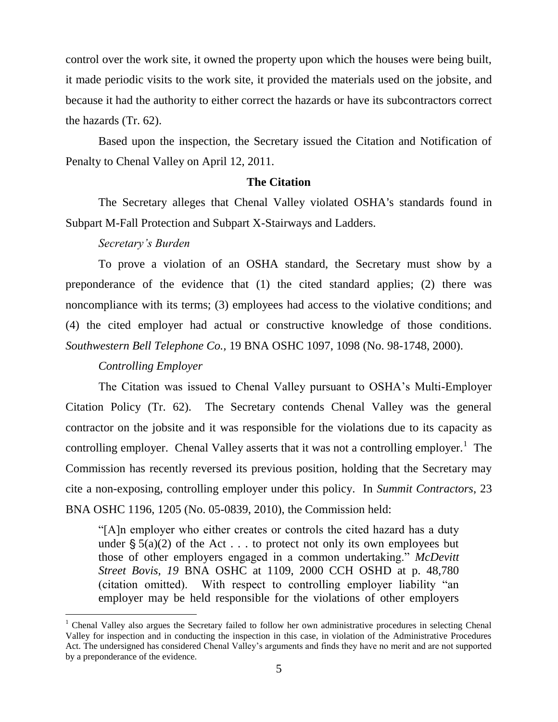control over the work site, it owned the property upon which the houses were being built, it made periodic visits to the work site, it provided the materials used on the jobsite, and because it had the authority to either correct the hazards or have its subcontractors correct the hazards (Tr. 62).

Based upon the inspection, the Secretary issued the Citation and Notification of Penalty to Chenal Valley on April 12, 2011.

## **The Citation**

The Secretary alleges that Chenal Valley violated OSHA's standards found in Subpart M-Fall Protection and Subpart X-Stairways and Ladders.

## *Secretary's Burden*

To prove a violation of an OSHA standard, the Secretary must show by a preponderance of the evidence that (1) the cited standard applies; (2) there was noncompliance with its terms; (3) employees had access to the violative conditions; and (4) the cited employer had actual or constructive knowledge of those conditions. *Southwestern Bell Telephone Co.,* 19 BNA OSHC 1097, 1098 (No. 98-1748, 2000).

## *Controlling Employer*

The Citation was issued to Chenal Valley pursuant to OSHA's Multi-Employer Citation Policy (Tr. 62). The Secretary contends Chenal Valley was the general contractor on the jobsite and it was responsible for the violations due to its capacity as controlling employer. Chenal Valley asserts that it was not a controlling employer.<sup>1</sup> The Commission has recently reversed its previous position, holding that the Secretary may cite a non-exposing, controlling employer under this policy. In *Summit Contractors*, 23 BNA OSHC 1196, 1205 (No. 05-0839, 2010), the Commission held:

"[A]n employer who either creates or controls the cited hazard has a duty under  $\frac{1}{2}$  5(a)(2) of the Act . . . to protect not only its own employees but those of other employers engaged in a common undertaking." *McDevitt Street Bovis, 19* BNA OSHC at 1109, 2000 CCH OSHD at p. 48,780 (citation omitted). With respect to controlling employer liability "an employer may be held responsible for the violations of other employers

<sup>&</sup>lt;sup>1</sup> Chenal Valley also argues the Secretary failed to follow her own administrative procedures in selecting Chenal Valley for inspection and in conducting the inspection in this case, in violation of the Administrative Procedures Act. The undersigned has considered Chenal Valley's arguments and finds they have no merit and are not supported by a preponderance of the evidence.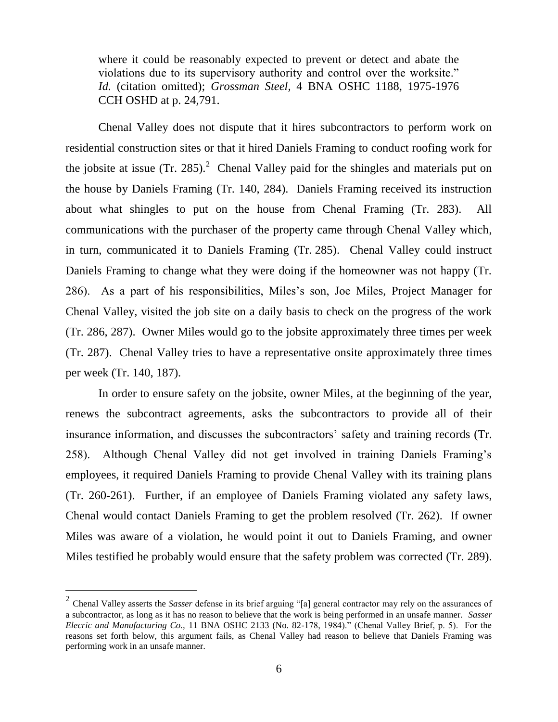where it could be reasonably expected to prevent or detect and abate the violations due to its supervisory authority and control over the worksite." *Id.* (citation omitted); *Grossman Steel,* 4 BNA OSHC 1188, 1975-1976 CCH OSHD at p. 24,791.

Chenal Valley does not dispute that it hires subcontractors to perform work on residential construction sites or that it hired Daniels Framing to conduct roofing work for the jobsite at issue (Tr. 285).<sup>2</sup> Chenal Valley paid for the shingles and materials put on the house by Daniels Framing (Tr. 140, 284). Daniels Framing received its instruction about what shingles to put on the house from Chenal Framing (Tr. 283). All communications with the purchaser of the property came through Chenal Valley which, in turn, communicated it to Daniels Framing (Tr. 285). Chenal Valley could instruct Daniels Framing to change what they were doing if the homeowner was not happy (Tr. 286). As a part of his responsibilities, Miles's son, Joe Miles, Project Manager for Chenal Valley, visited the job site on a daily basis to check on the progress of the work (Tr. 286, 287). Owner Miles would go to the jobsite approximately three times per week (Tr. 287). Chenal Valley tries to have a representative onsite approximately three times per week (Tr. 140, 187).

In order to ensure safety on the jobsite, owner Miles, at the beginning of the year, renews the subcontract agreements, asks the subcontractors to provide all of their insurance information, and discusses the subcontractors' safety and training records (Tr. 258). Although Chenal Valley did not get involved in training Daniels Framing's employees, it required Daniels Framing to provide Chenal Valley with its training plans (Tr. 260-261). Further, if an employee of Daniels Framing violated any safety laws, Chenal would contact Daniels Framing to get the problem resolved (Tr. 262). If owner Miles was aware of a violation, he would point it out to Daniels Framing, and owner Miles testified he probably would ensure that the safety problem was corrected (Tr. 289).

 $\overline{a}$ 

<sup>2</sup> Chenal Valley asserts the *Sasser* defense in its brief arguing "[a] general contractor may rely on the assurances of a subcontractor, as long as it has no reason to believe that the work is being performed in an unsafe manner. *Sasser Elecric and Manufacturing Co.,* 11 BNA OSHC 2133 (No. 82-178, 1984)." (Chenal Valley Brief, p. 5). For the reasons set forth below, this argument fails, as Chenal Valley had reason to believe that Daniels Framing was performing work in an unsafe manner.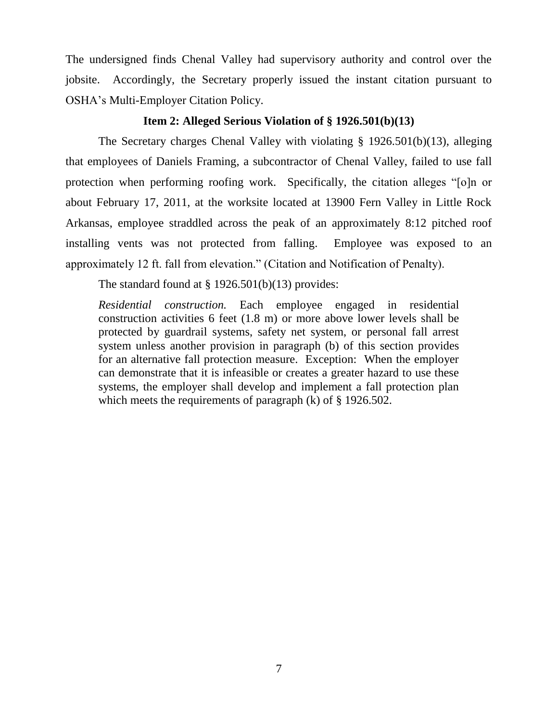The undersigned finds Chenal Valley had supervisory authority and control over the jobsite. Accordingly, the Secretary properly issued the instant citation pursuant to OSHA's Multi-Employer Citation Policy.

## **Item 2: Alleged Serious Violation of § 1926.501(b)(13)**

The Secretary charges Chenal Valley with violating § 1926.501(b)(13), alleging that employees of Daniels Framing, a subcontractor of Chenal Valley, failed to use fall protection when performing roofing work. Specifically, the citation alleges "[o]n or about February 17, 2011, at the worksite located at 13900 Fern Valley in Little Rock Arkansas, employee straddled across the peak of an approximately 8:12 pitched roof installing vents was not protected from falling. Employee was exposed to an approximately 12 ft. fall from elevation." (Citation and Notification of Penalty).

The standard found at  $\S 1926.501(b)(13)$  provides:

*Residential construction.* Each employee engaged in residential construction activities 6 feet (1.8 m) or more above lower levels shall be protected by guardrail systems, safety net system, or personal fall arrest system unless another provision in paragraph (b) of this section provides for an alternative fall protection measure. Exception: When the employer can demonstrate that it is infeasible or creates a greater hazard to use these systems, the employer shall develop and implement a fall protection plan which meets the requirements of paragraph (k) of § 1926.502.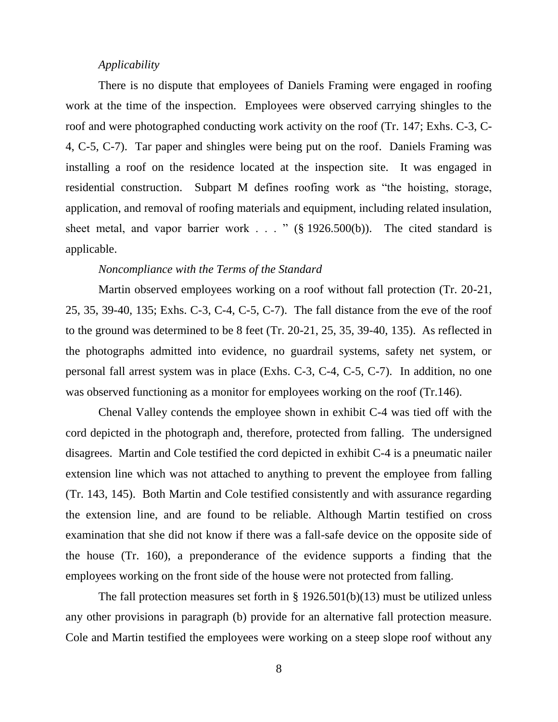## *Applicability*

There is no dispute that employees of Daniels Framing were engaged in roofing work at the time of the inspection. Employees were observed carrying shingles to the roof and were photographed conducting work activity on the roof (Tr. 147; Exhs. C-3, C-4, C-5, C-7). Tar paper and shingles were being put on the roof. Daniels Framing was installing a roof on the residence located at the inspection site. It was engaged in residential construction. Subpart M defines roofing work as "the hoisting, storage, application, and removal of roofing materials and equipment, including related insulation, sheet metal, and vapor barrier work . . . "  $(\S 1926.500(b))$ . The cited standard is applicable.

## *Noncompliance with the Terms of the Standard*

Martin observed employees working on a roof without fall protection (Tr. 20-21, 25, 35, 39-40, 135; Exhs. C-3, C-4, C-5, C-7). The fall distance from the eve of the roof to the ground was determined to be 8 feet (Tr. 20-21, 25, 35, 39-40, 135). As reflected in the photographs admitted into evidence, no guardrail systems, safety net system, or personal fall arrest system was in place (Exhs. C-3, C-4, C-5, C-7). In addition, no one was observed functioning as a monitor for employees working on the roof (Tr.146).

Chenal Valley contends the employee shown in exhibit C-4 was tied off with the cord depicted in the photograph and, therefore, protected from falling. The undersigned disagrees. Martin and Cole testified the cord depicted in exhibit C-4 is a pneumatic nailer extension line which was not attached to anything to prevent the employee from falling (Tr. 143, 145). Both Martin and Cole testified consistently and with assurance regarding the extension line, and are found to be reliable. Although Martin testified on cross examination that she did not know if there was a fall-safe device on the opposite side of the house (Tr. 160), a preponderance of the evidence supports a finding that the employees working on the front side of the house were not protected from falling.

The fall protection measures set forth in  $\S$  1926.501(b)(13) must be utilized unless any other provisions in paragraph (b) provide for an alternative fall protection measure. Cole and Martin testified the employees were working on a steep slope roof without any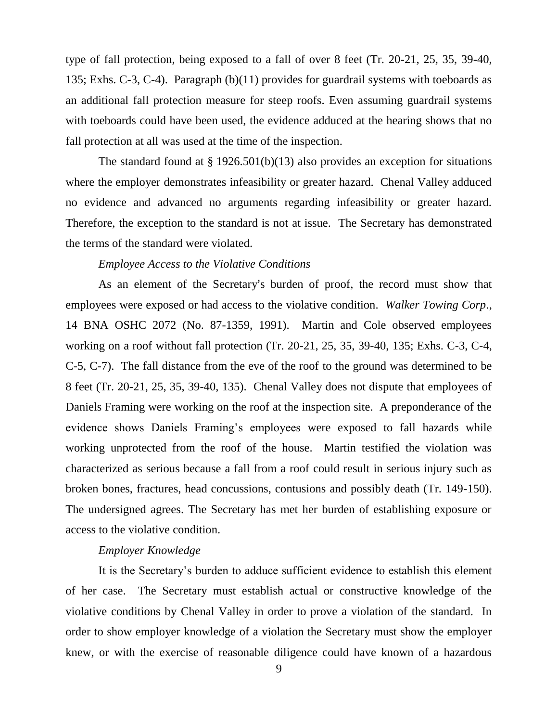type of fall protection, being exposed to a fall of over 8 feet (Tr. 20-21, 25, 35, 39-40, 135; Exhs. C-3, C-4). Paragraph (b)(11) provides for guardrail systems with toeboards as an additional fall protection measure for steep roofs. Even assuming guardrail systems with toeboards could have been used, the evidence adduced at the hearing shows that no fall protection at all was used at the time of the inspection.

The standard found at  $\S 1926.501(b)(13)$  also provides an exception for situations where the employer demonstrates infeasibility or greater hazard. Chenal Valley adduced no evidence and advanced no arguments regarding infeasibility or greater hazard. Therefore, the exception to the standard is not at issue. The Secretary has demonstrated the terms of the standard were violated.

#### *Employee Access to the Violative Conditions*

As an element of the Secretary's burden of proof, the record must show that employees were exposed or had access to the violative condition. *Walker Towing Corp*., 14 BNA OSHC 2072 (No. 87-1359, 1991). Martin and Cole observed employees working on a roof without fall protection (Tr. 20-21, 25, 35, 39-40, 135; Exhs. C-3, C-4, C-5, C-7). The fall distance from the eve of the roof to the ground was determined to be 8 feet (Tr. 20-21, 25, 35, 39-40, 135). Chenal Valley does not dispute that employees of Daniels Framing were working on the roof at the inspection site. A preponderance of the evidence shows Daniels Framing's employees were exposed to fall hazards while working unprotected from the roof of the house. Martin testified the violation was characterized as serious because a fall from a roof could result in serious injury such as broken bones, fractures, head concussions, contusions and possibly death (Tr. 149-150). The undersigned agrees. The Secretary has met her burden of establishing exposure or access to the violative condition.

#### *Employer Knowledge*

It is the Secretary's burden to adduce sufficient evidence to establish this element of her case. The Secretary must establish actual or constructive knowledge of the violative conditions by Chenal Valley in order to prove a violation of the standard. In order to show employer knowledge of a violation the Secretary must show the employer knew, or with the exercise of reasonable diligence could have known of a hazardous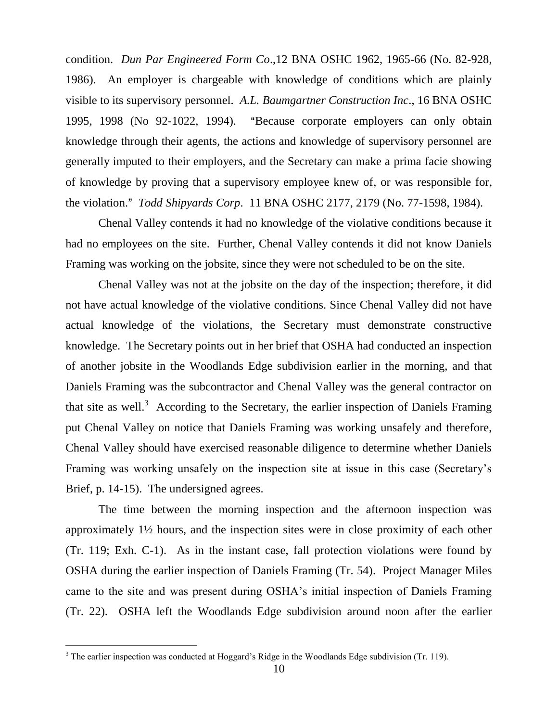condition. *Dun Par Engineered Form Co*.,12 BNA OSHC 1962, 1965-66 (No. 82-928, 1986). An employer is chargeable with knowledge of conditions which are plainly visible to its supervisory personnel. *A.L. Baumgartner Construction Inc*., 16 BNA OSHC 1995, 1998 (No 92-1022, 1994). "Because corporate employers can only obtain knowledge through their agents, the actions and knowledge of supervisory personnel are generally imputed to their employers, and the Secretary can make a prima facie showing of knowledge by proving that a supervisory employee knew of, or was responsible for, the violation.@ *Todd Shipyards Corp*. 11 BNA OSHC 2177, 2179 (No. 77-1598, 1984).

Chenal Valley contends it had no knowledge of the violative conditions because it had no employees on the site. Further, Chenal Valley contends it did not know Daniels Framing was working on the jobsite, since they were not scheduled to be on the site.

Chenal Valley was not at the jobsite on the day of the inspection; therefore, it did not have actual knowledge of the violative conditions. Since Chenal Valley did not have actual knowledge of the violations, the Secretary must demonstrate constructive knowledge. The Secretary points out in her brief that OSHA had conducted an inspection of another jobsite in the Woodlands Edge subdivision earlier in the morning, and that Daniels Framing was the subcontractor and Chenal Valley was the general contractor on that site as well.<sup>3</sup> According to the Secretary, the earlier inspection of Daniels Framing put Chenal Valley on notice that Daniels Framing was working unsafely and therefore, Chenal Valley should have exercised reasonable diligence to determine whether Daniels Framing was working unsafely on the inspection site at issue in this case (Secretary's Brief, p. 14-15). The undersigned agrees.

The time between the morning inspection and the afternoon inspection was approximately 1½ hours, and the inspection sites were in close proximity of each other (Tr. 119; Exh. C-1). As in the instant case, fall protection violations were found by OSHA during the earlier inspection of Daniels Framing (Tr. 54). Project Manager Miles came to the site and was present during OSHA's initial inspection of Daniels Framing (Tr. 22). OSHA left the Woodlands Edge subdivision around noon after the earlier

 $3$  The earlier inspection was conducted at Hoggard's Ridge in the Woodlands Edge subdivision (Tr. 119).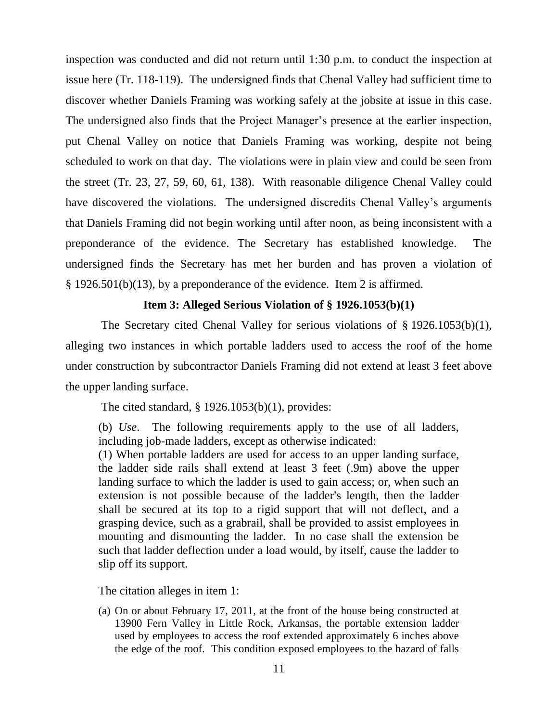inspection was conducted and did not return until 1:30 p.m. to conduct the inspection at issue here (Tr. 118-119). The undersigned finds that Chenal Valley had sufficient time to discover whether Daniels Framing was working safely at the jobsite at issue in this case. The undersigned also finds that the Project Manager's presence at the earlier inspection, put Chenal Valley on notice that Daniels Framing was working, despite not being scheduled to work on that day. The violations were in plain view and could be seen from the street (Tr. 23, 27, 59, 60, 61, 138). With reasonable diligence Chenal Valley could have discovered the violations. The undersigned discredits Chenal Valley's arguments that Daniels Framing did not begin working until after noon, as being inconsistent with a preponderance of the evidence. The Secretary has established knowledge. The undersigned finds the Secretary has met her burden and has proven a violation of § 1926.501(b)(13), by a preponderance of the evidence. Item 2 is affirmed.

### **Item 3: Alleged Serious Violation of § 1926.1053(b)(1)**

The Secretary cited Chenal Valley for serious violations of § 1926.1053(b)(1), alleging two instances in which portable ladders used to access the roof of the home under construction by subcontractor Daniels Framing did not extend at least 3 feet above the upper landing surface.

The cited standard,  $\S 1926.1053(b)(1)$ , provides:

(b) *Use*. The following requirements apply to the use of all ladders, including job-made ladders, except as otherwise indicated:

(1) When portable ladders are used for access to an upper landing surface, the ladder side rails shall extend at least 3 feet (.9m) above the upper landing surface to which the ladder is used to gain access; or, when such an extension is not possible because of the ladder's length, then the ladder shall be secured at its top to a rigid support that will not deflect, and a grasping device, such as a grabrail, shall be provided to assist employees in mounting and dismounting the ladder. In no case shall the extension be such that ladder deflection under a load would, by itself, cause the ladder to slip off its support.

The citation alleges in item 1:

(a) On or about February 17, 2011, at the front of the house being constructed at 13900 Fern Valley in Little Rock, Arkansas, the portable extension ladder used by employees to access the roof extended approximately 6 inches above the edge of the roof. This condition exposed employees to the hazard of falls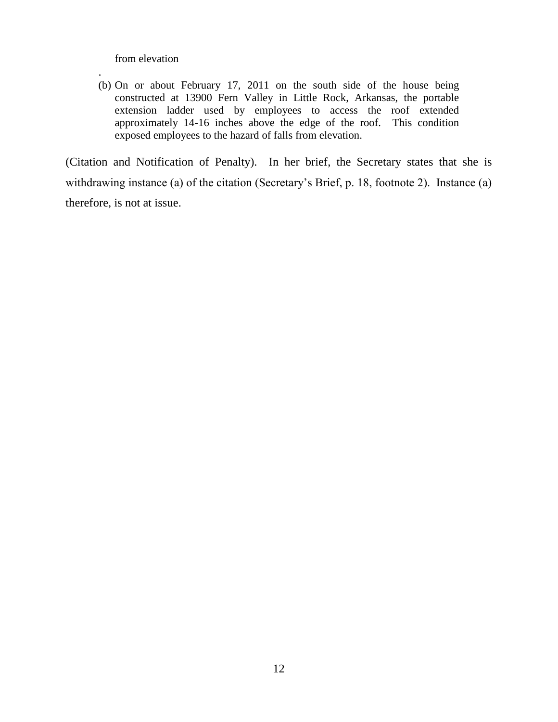from elevation

.

(b) On or about February 17, 2011 on the south side of the house being constructed at 13900 Fern Valley in Little Rock, Arkansas, the portable extension ladder used by employees to access the roof extended approximately 14-16 inches above the edge of the roof. This condition exposed employees to the hazard of falls from elevation.

(Citation and Notification of Penalty). In her brief, the Secretary states that she is withdrawing instance (a) of the citation (Secretary's Brief, p. 18, footnote 2). Instance (a) therefore, is not at issue.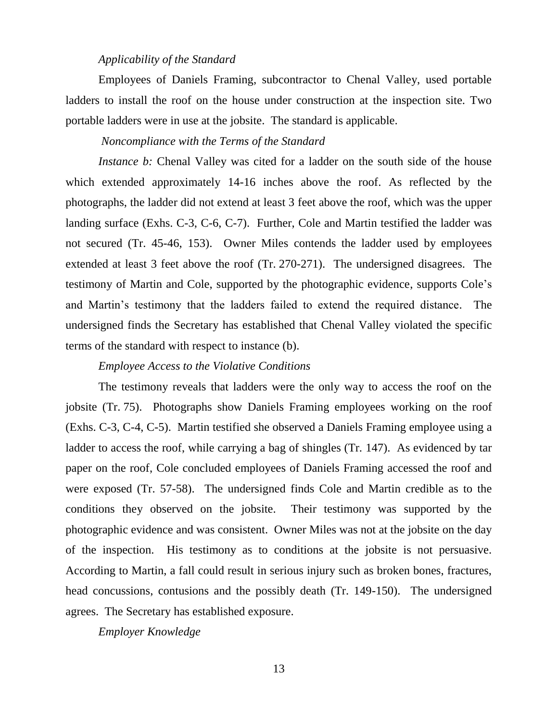#### *Applicability of the Standard*

Employees of Daniels Framing, subcontractor to Chenal Valley, used portable ladders to install the roof on the house under construction at the inspection site. Two portable ladders were in use at the jobsite. The standard is applicable.

## *Noncompliance with the Terms of the Standard*

*Instance b:* Chenal Valley was cited for a ladder on the south side of the house which extended approximately 14-16 inches above the roof. As reflected by the photographs, the ladder did not extend at least 3 feet above the roof, which was the upper landing surface (Exhs. C-3, C-6, C-7). Further, Cole and Martin testified the ladder was not secured (Tr. 45-46, 153). Owner Miles contends the ladder used by employees extended at least 3 feet above the roof (Tr. 270-271). The undersigned disagrees. The testimony of Martin and Cole, supported by the photographic evidence, supports Cole's and Martin's testimony that the ladders failed to extend the required distance. The undersigned finds the Secretary has established that Chenal Valley violated the specific terms of the standard with respect to instance (b).

## *Employee Access to the Violative Conditions*

The testimony reveals that ladders were the only way to access the roof on the jobsite (Tr. 75). Photographs show Daniels Framing employees working on the roof (Exhs. C-3, C-4, C-5). Martin testified she observed a Daniels Framing employee using a ladder to access the roof, while carrying a bag of shingles (Tr. 147). As evidenced by tar paper on the roof, Cole concluded employees of Daniels Framing accessed the roof and were exposed (Tr. 57-58). The undersigned finds Cole and Martin credible as to the conditions they observed on the jobsite. Their testimony was supported by the photographic evidence and was consistent. Owner Miles was not at the jobsite on the day of the inspection. His testimony as to conditions at the jobsite is not persuasive. According to Martin, a fall could result in serious injury such as broken bones, fractures, head concussions, contusions and the possibly death (Tr. 149-150). The undersigned agrees. The Secretary has established exposure.

*Employer Knowledge*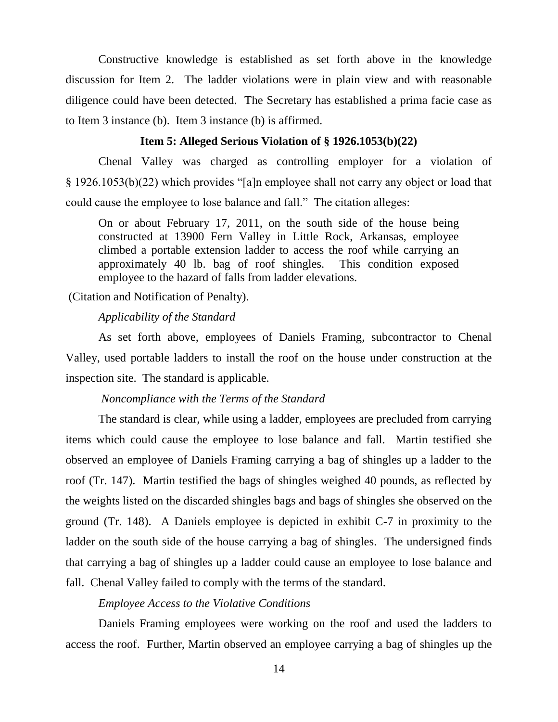Constructive knowledge is established as set forth above in the knowledge discussion for Item 2. The ladder violations were in plain view and with reasonable diligence could have been detected. The Secretary has established a prima facie case as to Item 3 instance (b). Item 3 instance (b) is affirmed.

## **Item 5: Alleged Serious Violation of § 1926.1053(b)(22)**

Chenal Valley was charged as controlling employer for a violation of § 1926.1053(b)(22) which provides "[a]n employee shall not carry any object or load that could cause the employee to lose balance and fall." The citation alleges:

On or about February 17, 2011, on the south side of the house being constructed at 13900 Fern Valley in Little Rock, Arkansas, employee climbed a portable extension ladder to access the roof while carrying an approximately 40 lb. bag of roof shingles. This condition exposed employee to the hazard of falls from ladder elevations.

(Citation and Notification of Penalty).

## *Applicability of the Standard*

As set forth above, employees of Daniels Framing, subcontractor to Chenal Valley, used portable ladders to install the roof on the house under construction at the inspection site. The standard is applicable.

#### *Noncompliance with the Terms of the Standard*

The standard is clear, while using a ladder, employees are precluded from carrying items which could cause the employee to lose balance and fall. Martin testified she observed an employee of Daniels Framing carrying a bag of shingles up a ladder to the roof (Tr. 147). Martin testified the bags of shingles weighed 40 pounds, as reflected by the weights listed on the discarded shingles bags and bags of shingles she observed on the ground (Tr. 148). A Daniels employee is depicted in exhibit C-7 in proximity to the ladder on the south side of the house carrying a bag of shingles. The undersigned finds that carrying a bag of shingles up a ladder could cause an employee to lose balance and fall. Chenal Valley failed to comply with the terms of the standard.

## *Employee Access to the Violative Conditions*

Daniels Framing employees were working on the roof and used the ladders to access the roof. Further, Martin observed an employee carrying a bag of shingles up the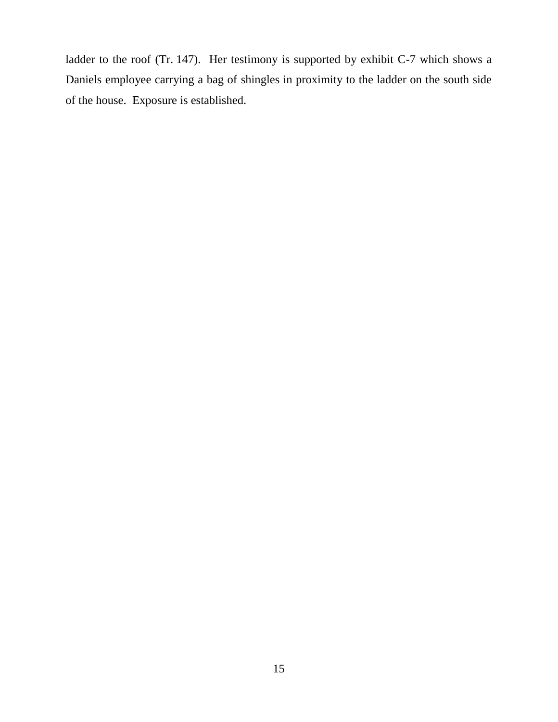ladder to the roof (Tr. 147). Her testimony is supported by exhibit C-7 which shows a Daniels employee carrying a bag of shingles in proximity to the ladder on the south side of the house. Exposure is established.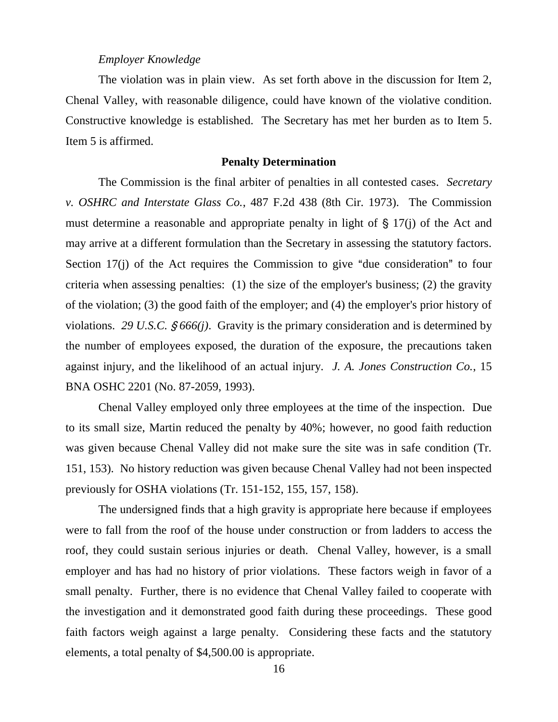#### *Employer Knowledge*

The violation was in plain view. As set forth above in the discussion for Item 2, Chenal Valley, with reasonable diligence, could have known of the violative condition. Constructive knowledge is established. The Secretary has met her burden as to Item 5. Item 5 is affirmed.

#### **Penalty Determination**

The Commission is the final arbiter of penalties in all contested cases. *Secretary v. OSHRC and Interstate Glass Co.*, 487 F.2d 438 (8th Cir. 1973). The Commission must determine a reasonable and appropriate penalty in light of  $\S 17(i)$  of the Act and may arrive at a different formulation than the Secretary in assessing the statutory factors. Section 17(j) of the Act requires the Commission to give "due consideration" to four criteria when assessing penalties: (1) the size of the employer's business; (2) the gravity of the violation; (3) the good faith of the employer; and (4) the employer's prior history of violations. 29 U.S.C.  $\frac{6666}{j}$ . Gravity is the primary consideration and is determined by the number of employees exposed, the duration of the exposure, the precautions taken against injury, and the likelihood of an actual injury. *J. A. Jones Construction Co.*, 15 BNA OSHC 2201 (No. 87-2059, 1993).

Chenal Valley employed only three employees at the time of the inspection. Due to its small size, Martin reduced the penalty by 40%; however, no good faith reduction was given because Chenal Valley did not make sure the site was in safe condition (Tr. 151, 153). No history reduction was given because Chenal Valley had not been inspected previously for OSHA violations (Tr. 151-152, 155, 157, 158).

The undersigned finds that a high gravity is appropriate here because if employees were to fall from the roof of the house under construction or from ladders to access the roof, they could sustain serious injuries or death. Chenal Valley, however, is a small employer and has had no history of prior violations. These factors weigh in favor of a small penalty. Further, there is no evidence that Chenal Valley failed to cooperate with the investigation and it demonstrated good faith during these proceedings. These good faith factors weigh against a large penalty. Considering these facts and the statutory elements, a total penalty of \$4,500.00 is appropriate.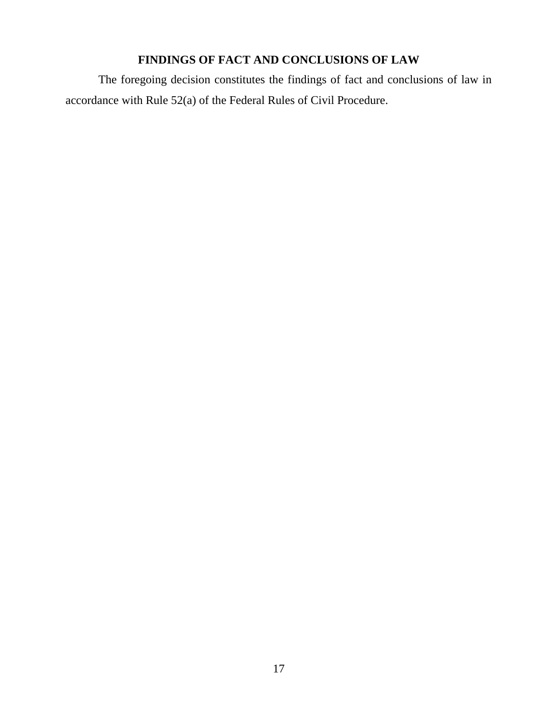# **FINDINGS OF FACT AND CONCLUSIONS OF LAW**

The foregoing decision constitutes the findings of fact and conclusions of law in accordance with Rule 52(a) of the Federal Rules of Civil Procedure.